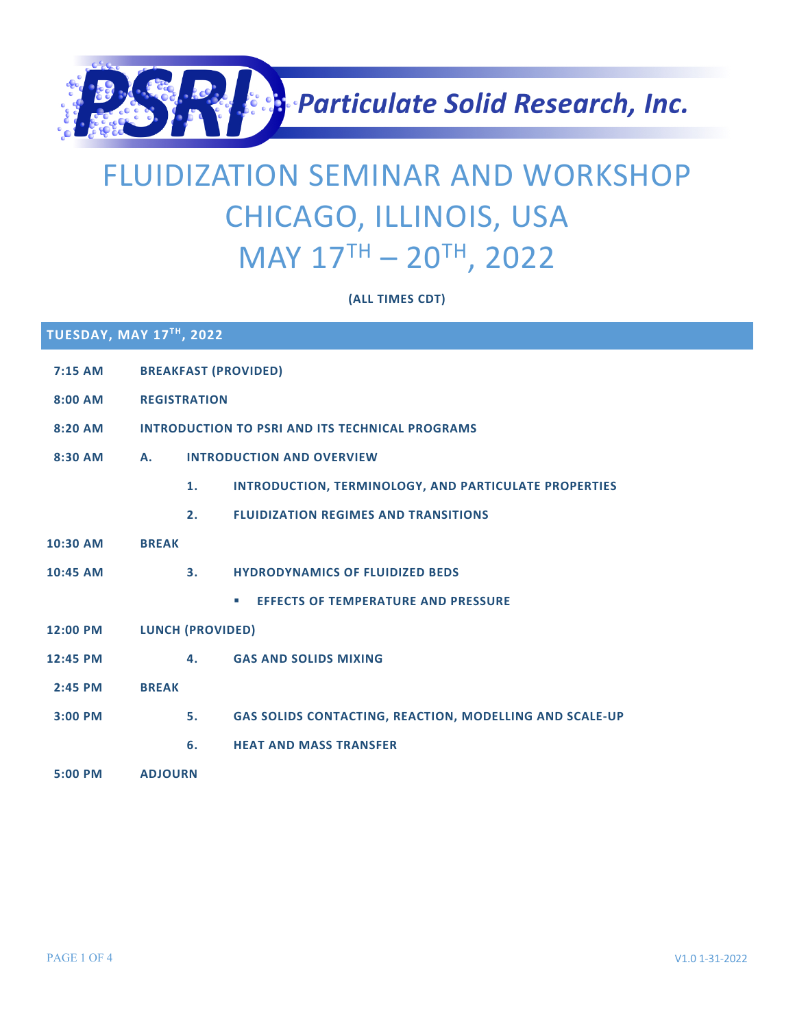

## FLUIDIZATION SEMINAR AND WORKSHOP CHICAGO, ILLINOIS, USA MAY 17TH – 20TH, 2022

**(ALL TIMES CDT)**

| TUESDAY, MAY 17TH, 2022 |                             |                                                         |  |  |
|-------------------------|-----------------------------|---------------------------------------------------------|--|--|
| $7:15$ AM               | <b>BREAKFAST (PROVIDED)</b> |                                                         |  |  |
| 8:00 AM                 | <b>REGISTRATION</b>         |                                                         |  |  |
| 8:20 AM                 |                             | <b>INTRODUCTION TO PSRI AND ITS TECHNICAL PROGRAMS</b>  |  |  |
| 8:30 AM                 | А.                          | <b>INTRODUCTION AND OVERVIEW</b>                        |  |  |
|                         | 1.                          | INTRODUCTION, TERMINOLOGY, AND PARTICULATE PROPERTIES   |  |  |
|                         | 2.                          | <b>FLUIDIZATION REGIMES AND TRANSITIONS</b>             |  |  |
| 10:30 AM                | <b>BREAK</b>                |                                                         |  |  |
| 10:45 AM                | 3.                          | <b>HYDRODYNAMICS OF FLUIDIZED BEDS</b>                  |  |  |
|                         |                             | <b>EFFECTS OF TEMPERATURE AND PRESSURE</b><br>u,        |  |  |
| 12:00 PM                |                             | <b>LUNCH (PROVIDED)</b>                                 |  |  |
| 12:45 PM                | 4.                          | <b>GAS AND SOLIDS MIXING</b>                            |  |  |
| $2:45$ PM               | <b>BREAK</b>                |                                                         |  |  |
| 3:00 PM                 | 5.                          | GAS SOLIDS CONTACTING, REACTION, MODELLING AND SCALE-UP |  |  |
|                         | 6.                          | <b>HEAT AND MASS TRANSFER</b>                           |  |  |
| 5:00 PM                 | <b>ADJOURN</b>              |                                                         |  |  |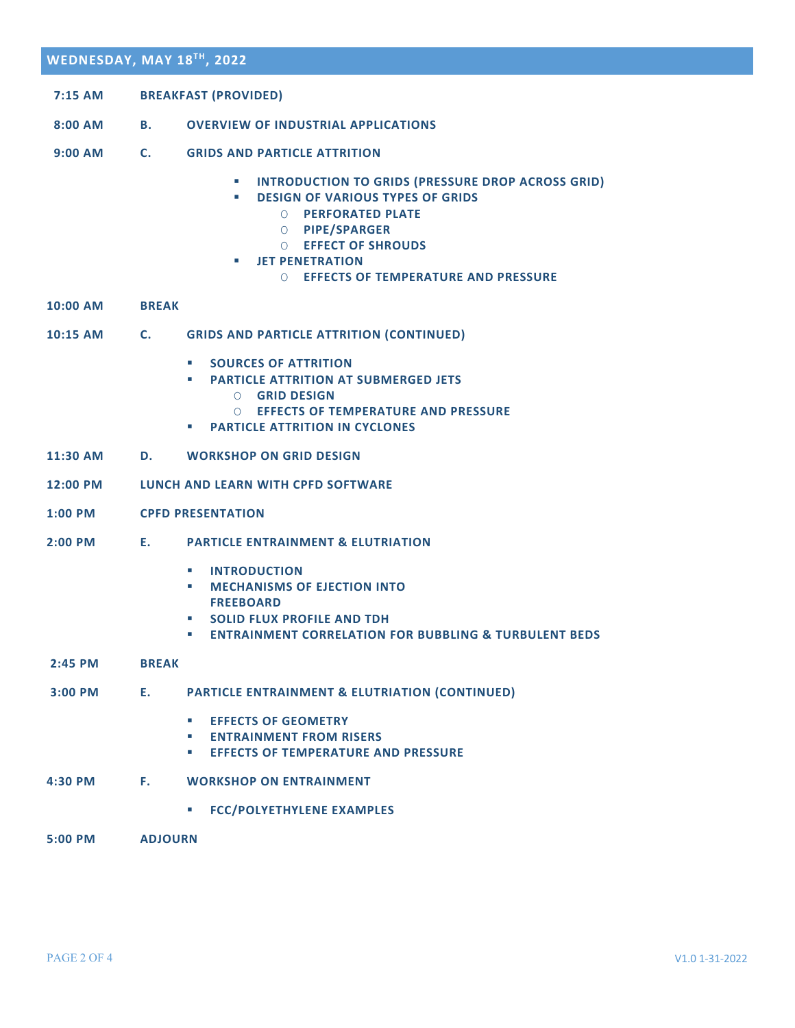## **WEDNESDAY, MAY 18TH, 2022**

| $7:15$ AM | <b>BREAKFAST (PROVIDED)</b> |  |
|-----------|-----------------------------|--|
|-----------|-----------------------------|--|

- **8:00 AM B. OVERVIEW OF INDUSTRIAL APPLICATIONS**
- **9:00 AM C. GRIDS AND PARTICLE ATTRITION**
	- § **INTRODUCTION TO GRIDS (PRESSURE DROP ACROSS GRID)**
	- § **DESIGN OF VARIOUS TYPES OF GRIDS**
		- O **PERFORATED PLATE**
		- O **PIPE/SPARGER**
		- O **EFFECT OF SHROUDS**
	- § **JET PENETRATION**
		- O **EFFECTS OF TEMPERATURE AND PRESSURE**
- **10:00 AM BREAK**
- **10:15 AM C. GRIDS AND PARTICLE ATTRITION (CONTINUED)**
	- § **SOURCES OF ATTRITION**
	- § **PARTICLE ATTRITION AT SUBMERGED JETS**
		- O **GRID DESIGN**
		- O **EFFECTS OF TEMPERATURE AND PRESSURE**
	- § **PARTICLE ATTRITION IN CYCLONES**
- **11:30 AM D. WORKSHOP ON GRID DESIGN**
- **12:00 PM LUNCH AND LEARN WITH CPFD SOFTWARE**
- **1:00 PM CPFD PRESENTATION**
- **2:00 PM E. PARTICLE ENTRAINMENT & ELUTRIATION**
	- § **INTRODUCTION**
	- **E** MECHANISMS OF EJECTION INTO **FREEBOARD**
	- § **SOLID FLUX PROFILE AND TDH**
	- § **ENTRAINMENT CORRELATION FOR BUBBLING & TURBULENT BEDS**
- **2:45 PM BREAK**
- **3:00 PM E. PARTICLE ENTRAINMENT & ELUTRIATION (CONTINUED)**
	- **EFFECTS OF GEOMETRY**
	- § **ENTRAINMENT FROM RISERS**
	- § **EFFECTS OF TEMPERATURE AND PRESSURE**
- **4:30 PM F. WORKSHOP ON ENTRAINMENT**
	- § **FCC/POLYETHYLENE EXAMPLES**
- **5:00 PM ADJOURN**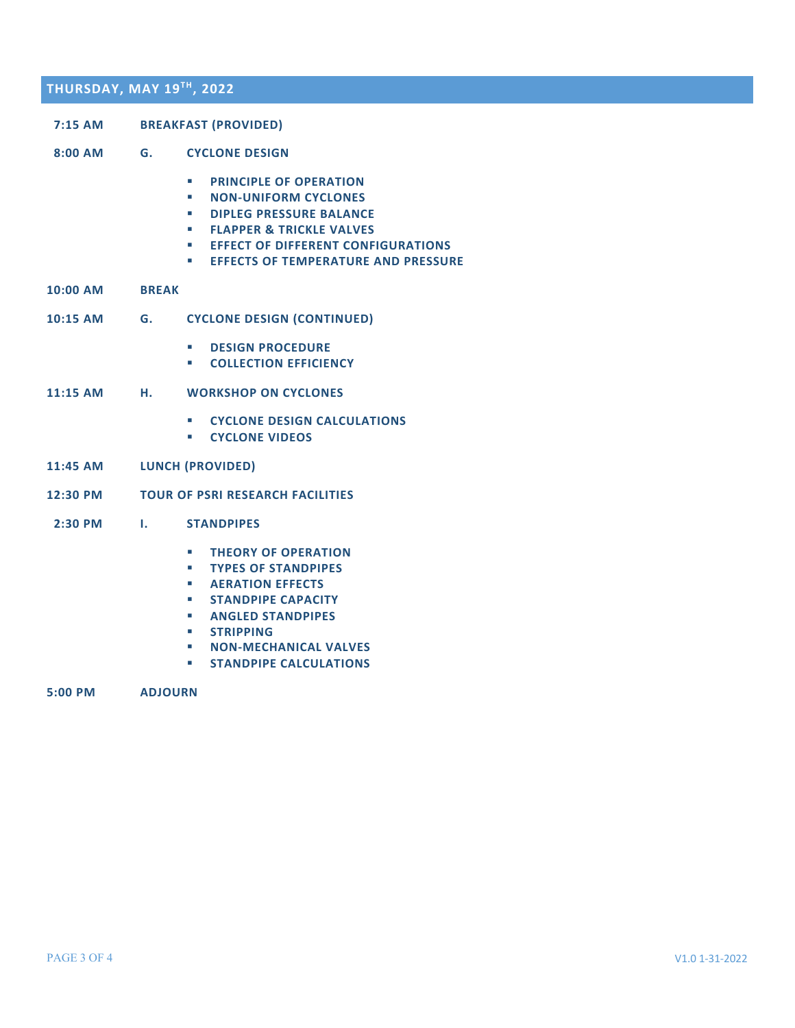## **THURSDAY, MAY 19TH, 2022 7:15 AM BREAKFAST (PROVIDED) 8:00 AM G. CYCLONE DESIGN E** PRINCIPLE OF OPERATION § **NON-UNIFORM CYCLONES** § **DIPLEG PRESSURE BALANCE** § **FLAPPER & TRICKLE VALVES EFFECT OF DIFFERENT CONFIGURATIONS** § **EFFECTS OF TEMPERATURE AND PRESSURE 10:00 AM BREAK 10:15 AM G. CYCLONE DESIGN (CONTINUED)** § **DESIGN PROCEDURE** § **COLLECTION EFFICIENCY 11:15 AM H. WORKSHOP ON CYCLONES** § **CYCLONE DESIGN CALCULATIONS** § **CYCLONE VIDEOS 11:45 AM LUNCH (PROVIDED) 12:30 PM TOUR OF PSRI RESEARCH FACILITIES 2:30 PM I. STANDPIPES E** THEORY OF OPERATION § **TYPES OF STANDPIPES** § **AERATION EFFECTS** § **STANDPIPE CAPACITY** § **ANGLED STANDPIPES** § **STRIPPING** § **NON-MECHANICAL VALVES**

§ **STANDPIPE CALCULATIONS**

## **5:00 PM ADJOURN**